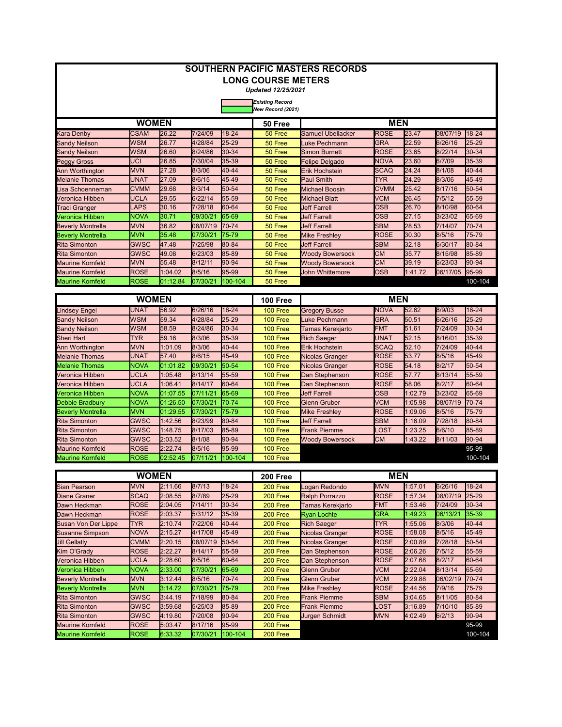| <b>SOUTHERN PACIFIC MASTERS RECORDS</b> |              |          |          |           |                                             |                        |             |         |          |           |  |  |
|-----------------------------------------|--------------|----------|----------|-----------|---------------------------------------------|------------------------|-------------|---------|----------|-----------|--|--|
|                                         |              |          |          |           | <b>LONG COURSE METERS</b>                   |                        |             |         |          |           |  |  |
|                                         |              |          |          |           | <b>Updated 12/25/2021</b>                   |                        |             |         |          |           |  |  |
|                                         |              |          |          |           | <b>Existing Record</b><br>New Record (2021) |                        |             |         |          |           |  |  |
|                                         | <b>WOMEN</b> |          |          |           | 50 Free                                     |                        | <b>MEN</b>  |         |          |           |  |  |
| Kara Denby                              | <b>CSAM</b>  | 26.22    | 7/24/09  | $18 - 24$ | 50 Free                                     | Samuel Ubellacker      | <b>ROSE</b> | 23.47   | 08/07/19 | 18-24     |  |  |
| Sandy Neilson                           | <b>WSM</b>   | 26.77    | 4/28/84  | 25-29     | 50 Free                                     | Luke Pechmann          | <b>GRA</b>  | 22.59   | 6/26/16  | 25-29     |  |  |
| <b>Sandy Neilson</b>                    | <b>WSM</b>   | 26.60    | 8/24/86  | 30-34     | 50 Free                                     | <b>Simon Burnett</b>   | <b>ROSE</b> | 23.65   | 8/22/14  | 30-34     |  |  |
| <b>Peggy Gross</b>                      | <b>UCI</b>   | 26.85    | 7/30/04  | 35-39     | 50 Free                                     | Felipe Delgado         | <b>NOVA</b> | 23.60   | 6/7/09   | 35-39     |  |  |
| Ann Worthington                         | <b>MVN</b>   | 27.28    | 8/3/06   | 40-44     | 50 Free                                     | Erik Hochstein         | <b>SCAQ</b> | 24.24   | 8/1/08   | 40-44     |  |  |
| <b>Melanie Thomas</b>                   | <b>UNAT</b>  | 27.09    | 8/6/15   | 45-49     | 50 Free                                     | Paul Smith             | <b>TYR</b>  | 24.29   | 8/3/06   | 45-49     |  |  |
| Lisa Schoenneman                        | <b>CVMM</b>  | 29.68    | 8/3/14   | 50-54     | 50 Free                                     | Michael Boosin         | <b>CVMM</b> | 25.42   | 8/17/16  | 50-54     |  |  |
| Veronica Hibben                         | <b>UCLA</b>  | 29.55    | 6/22/14  | 55-59     | 50 Free                                     | Michael Blatt          | <b>VCM</b>  | 26.45   | 7/5/12   | 55-59     |  |  |
| Traci Granger                           | <b>LAPS</b>  | 30.16    | 7/28/18  | 60-64     | 50 Free                                     | Jeff Farrell           | <b>OSB</b>  | 26.70   | 8/10/98  | 60-64     |  |  |
| Veronica Hibben                         | <b>NOVA</b>  | 30.71    | 09/30/21 | 65-69     | 50 Free                                     | <b>Jeff Farrell</b>    | <b>OSB</b>  | 27.15   | 3/23/02  | 65-69     |  |  |
| <b>Beverly Montrella</b>                | <b>MVN</b>   | 36.82    | 08/07/19 | 70-74     | 50 Free                                     | <b>Jeff Farrell</b>    | <b>SBM</b>  | 28.53   | 7/14/07  | 70-74     |  |  |
| <b>Beverly Montrella</b>                | <b>MVN</b>   | 35.48    | 07/30/21 | 75-79     | 50 Free                                     | Mike Freshley          | <b>ROSE</b> | 30.30   | 8/5/16   | 75-79     |  |  |
| <b>Rita Simonton</b>                    | <b>GWSC</b>  | 47.48    | 7/25/98  | 80-84     | 50 Free                                     | <b>Jeff Farrell</b>    | <b>SBM</b>  | 32.18   | 6/30/17  | 80-84     |  |  |
| <b>Rita Simonton</b>                    | <b>GWSC</b>  | 49.08    | 6/23/03  | 85-89     | 50 Free                                     | <b>Woody Bowersock</b> | <b>CM</b>   | 35.77   | 8/15/98  | 85-89     |  |  |
| <b>Maurine Kornfeld</b>                 | <b>MVN</b>   | 55.48    | 8/12/11  | 90-94     | 50 Free                                     | <b>Woody Bowersock</b> | <b>CM</b>   | 39.19   | 6/23/03  | 90-94     |  |  |
| <b>Maurine Kornfeld</b>                 | <b>ROSE</b>  | 1:04.02  | 8/5/16   | 95-99     | 50 Free                                     | <b>John Whittemore</b> | <b>OSB</b>  | 1:41.72 | 06/17/05 | 95-99     |  |  |
| <b>Maurine Kornfeld</b>                 | ROSE         | 01:12.84 | 07/30/21 | 100-104   | 50 Free                                     |                        |             |         |          | 100-104   |  |  |
| <b>WOMEN</b><br><b>MEN</b><br>100 Free  |              |          |          |           |                                             |                        |             |         |          |           |  |  |
| Lindsey Engel                           | <b>UNAT</b>  | 56.92    | 6/26/16  | 18-24     | <b>100 Free</b>                             | <b>Gregory Busse</b>   | <b>NOVA</b> | 52.62   | 8/9/03   | 18-24     |  |  |
| <b>Sandy Neilson</b>                    | <b>WSM</b>   | 59.34    | 4/28/84  | 25-29     | 100 Free                                    | Luke Pechmann          | <b>GRA</b>  | 50.51   | 6/26/16  | 25-29     |  |  |
| <b>Sandy Neilson</b>                    | <b>WSM</b>   | 58.59    | 8/24/86  | 30-34     | <b>100 Free</b>                             | Tamas Kerekjarto       | <b>FMT</b>  | 51.61   | 7/24/09  | 30-34     |  |  |
| Sheri Hart                              | <b>TYR</b>   | 59.16    | 8/3/06   | 35-39     | 100 Free                                    | <b>Rich Saeger</b>     | <b>UNAT</b> | 52.15   | 8/16/01  | 35-39     |  |  |
| Ann Worthington                         | <b>MVN</b>   | 1:01.09  | 8/3/06   | 40-44     | <b>100 Free</b>                             | Erik Hochstein         | <b>SCAQ</b> | 52.10   | 7/24/09  | 40-44     |  |  |
| <b>Melanie Thomas</b>                   | UNAT         | 57.40    | 8/6/15   | 45-49     | <b>100 Free</b>                             | Nicolas Granger        | <b>ROSE</b> | 53.77   | 8/5/16   | 45-49     |  |  |
| <b>Melanie Thomas</b>                   | NOVA         | 01:01.82 | 09/30/21 | 50-54     | 100 Free                                    | Nicolas Granger        | <b>ROSE</b> | 54.18   | 8/2/17   | $50 - 54$ |  |  |
| Veronica Hibben                         | <b>UCLA</b>  | 1:05.48  | 8/13/14  | 55-59     | <b>100 Free</b>                             | Dan Stephenson         | <b>ROSE</b> | 57.77   | 8/13/14  | 55-59     |  |  |
| Veronica Hibben                         | UCLA         | 1:06.41  | 8/14/17  | 60-64     | 100 Free                                    | Dan Stephenson         | <b>ROSE</b> | 58.06   | 8/2/17   | 60-64     |  |  |
| Veronica Hibben                         | NOVA         | 01:07.55 | 07/11/21 | 65-69     | 100 Free                                    | Jeff Farrell           | <b>OSB</b>  | 1:02.79 | 3/23/02  | 65-69     |  |  |
| Debbie Bradbury                         | <b>NOVA</b>  | 01:26.50 | 07/30/21 | 70-74     | <b>100 Free</b>                             | <b>Glenn Gruber</b>    | <b>VCM</b>  | 1:05.98 | 08/07/19 | 70-74     |  |  |
| <b>Beverly Montrella</b>                | <b>MVN</b>   | 01:29.55 | 07/30/21 | 75-79     | 100 Free                                    | Mike Freshlev          | <b>ROSE</b> | 1:09.06 | 8/5/16   | 75-79     |  |  |
| <b>Rita Simonton</b>                    | <b>GWSC</b>  | 1:42.56  | 8/23/99  | 80-84     | 100 Free                                    | <b>Jeff Farrell</b>    | <b>SBM</b>  | 1:16.09 | 7/28/18  | 80-84     |  |  |
| <b>Rita Simonton</b>                    | <b>GWSC</b>  | 1:48.75  | 8/17/03  | 85-89     | <b>100 Free</b>                             | Frank Piemme           | _OST        | 1:23.25 | 6/6/10   | 85-89     |  |  |
| <b>Rita Simonton</b>                    | <b>GWSC</b>  | 2:03.52  | 8/1/08   | 90-94     | <b>100 Free</b>                             | <b>Woody Bowersock</b> | <b>CM</b>   | 1:43.22 | 8/11/03  | 90-94     |  |  |
| <b>Maurine Kornfeld</b>                 | <b>ROSE</b>  | 2:22.74  | 8/5/16   | 95-99     | 100 Free                                    |                        |             |         |          | 95-99     |  |  |
| <b>Maurine Kornfeld</b>                 | <b>ROSE</b>  | 02:52.45 | 07/11/21 | 100-104   | 100 Free                                    |                        |             |         |          | 100-104   |  |  |
|                                         | <b>WOMEN</b> |          |          |           | 200 Free                                    |                        | <b>MEN</b>  |         |          |           |  |  |
| <b>Sian Pearson</b>                     | <b>MVN</b>   | 2:11.66  | 8/7/13   | 18-24     | 200 Free                                    | Logan Redondo          | <b>MVN</b>  | 1:57.01 | 6/26/16  | $18 - 24$ |  |  |
| <b>Diane Graner</b>                     | <b>SCAQ</b>  | 2:08.55  | 8/7/89   | $25 - 29$ | 200 Free                                    | Ralph Porrazzo         | <b>ROSE</b> | 1:57.34 | 08/07/19 | 25-29     |  |  |
| Dawn Heckman                            | <b>ROSE</b>  | 2:04.05  | 7/14/11  | 30-34     | 200 Free                                    | Tamas Kerekjarto       | <b>FMT</b>  | 1:53.46 | 7/24/09  | 30-34     |  |  |
| Dawn Heckman                            | <b>ROSE</b>  | 2:03.37  | 5/31/12  | 35-39     | 200 Free                                    | <b>Ryan Lochte</b>     | <b>GRA</b>  | 1:49.23 | 06/13/21 | 35-39     |  |  |
| Susan Von Der Lippe                     | <b>TYR</b>   | 2:10.74  | 7/22/06  | 40-44     | 200 Free                                    | <b>Rich Saeger</b>     | <b>TYR</b>  | 1:55.06 | 8/3/06   | 40-44     |  |  |
| <b>Susanne Simpson</b>                  | <b>NOVA</b>  | 2:15.27  | 4/17/08  | 45-49     | 200 Free                                    | <b>Nicolas Granger</b> | <b>ROSE</b> | 1:58.08 | 8/5/16   | 45-49     |  |  |
| <b>Jill Gellatly</b>                    | <b>CVMM</b>  | 2:20.15  | 08/07/19 | 50-54     | 200 Free                                    | Nicolas Granger        | <b>ROSE</b> | 2:00.89 | 7/28/18  | 50-54     |  |  |
| Kim O'Grady                             | <b>ROSE</b>  | 2:22.27  | 8/14/17  | 55-59     | 200 Free                                    | Dan Stephenson         | <b>ROSE</b> | 2:06.26 | 7/5/12   | 55-59     |  |  |
| Veronica Hibben                         | <b>UCLA</b>  | 2:28.60  | 8/5/16   | 60-64     | 200 Free                                    | Dan Stephenson         | <b>ROSE</b> | 2:07.68 | 8/2/17   | 60-64     |  |  |
| Veronica Hibben                         | <b>NOVA</b>  | 2:33.00  | 07/30/21 | 65-69     | 200 Free                                    | Glenn Gruber           | <b>VCM</b>  | 2:22.04 | 8/13/14  | 65-69     |  |  |
| <b>Beverly Montrella</b>                | <b>MVN</b>   | 3:12.44  | 8/5/16   | 70-74     | 200 Free                                    | <b>Glenn Gruber</b>    | <b>VCM</b>  | 2:29.88 | 06/02/19 | 70-74     |  |  |
| <b>Beverly Montrella</b>                | <b>MVN</b>   | 3:14.72  | 07/30/21 | 75-79     | 200 Free                                    | <b>Mike Freshley</b>   | <b>ROSE</b> | 2:44.56 | 7/9/16   | 75-79     |  |  |
| <b>Rita Simonton</b>                    | <b>GWSC</b>  | 3:44.19  | 7/18/99  | 80-84     | 200 Free                                    | <b>Frank Piemme</b>    | <b>SBM</b>  | 3:04.65 | 8/11/05  | 80-84     |  |  |
| <b>Rita Simonton</b>                    | <b>GWSC</b>  | 3:59.68  | 5/25/03  | 85-89     | 200 Free                                    | <b>Frank Piemme</b>    | _OST        | 3:16.89 | 7/10/10  | 85-89     |  |  |
| <b>Rita Simonton</b>                    | <b>GWSC</b>  | 4:19.80  | 7/20/08  | 90-94     | 200 Free                                    | Jurgen Schmidt         | <b>MVN</b>  | 4:02.49 | 6/2/13   | 90-94     |  |  |
| <b>Maurine Kornfeld</b>                 | <b>ROSE</b>  | 5:03.47  | 8/17/16  | 95-99     | 200 Free                                    |                        |             |         |          | 95-99     |  |  |
| <b>Maurine Kornfeld</b>                 | ROSE         | 6:33.32  | 07/30/21 | 100-104   | 200 Free                                    |                        |             |         |          | 100-104   |  |  |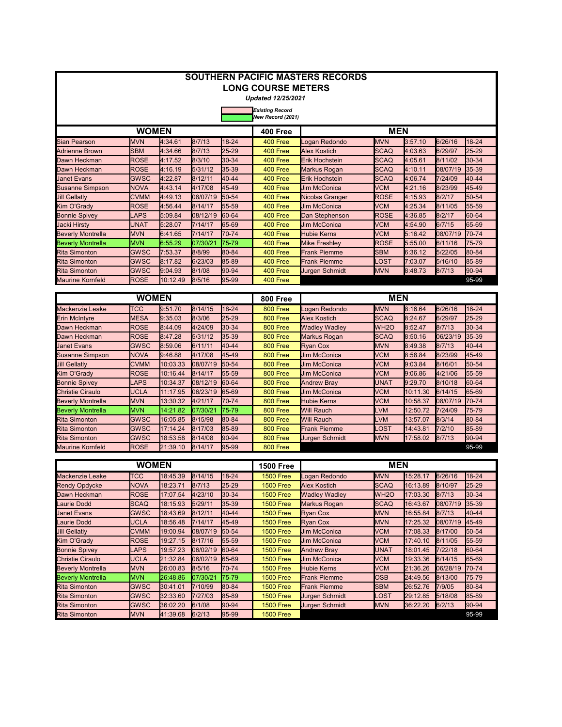| <b>SOUTHERN PACIFIC MASTERS RECORDS</b> |              |          |          |           |                           |                        |                   |         |          |       |  |
|-----------------------------------------|--------------|----------|----------|-----------|---------------------------|------------------------|-------------------|---------|----------|-------|--|
|                                         |              |          |          |           | <b>LONG COURSE METERS</b> |                        |                   |         |          |       |  |
|                                         |              |          |          |           | <b>Updated 12/25/2021</b> |                        |                   |         |          |       |  |
|                                         |              |          |          |           | <b>Existing Record</b>    |                        |                   |         |          |       |  |
| New Record (2021)                       |              |          |          |           |                           |                        |                   |         |          |       |  |
|                                         | <b>WOMEN</b> |          |          |           | 400 Free                  |                        | <b>MEN</b>        |         |          |       |  |
| Sian Pearson                            | <b>MVN</b>   | 4:34.61  | 8/7/13   | 18-24     | 400 Free                  | Logan Redondo          | <b>MVN</b>        | 3:57.10 | 6/26/16  | 18-24 |  |
| <b>Adrienne Brown</b>                   | <b>SBM</b>   | 4:34.66  | 8/7/13   | 25-29     | 400 Free                  | <b>Alex Kostich</b>    | <b>SCAQ</b>       | 4:03.63 | 6/29/97  | 25-29 |  |
| Dawn Heckman                            | <b>ROSE</b>  | 4:17.52  | 8/3/10   | 30-34     | 400 Free                  | <b>Erik Hochstein</b>  | <b>SCAQ</b>       | 4:05.61 | 8/11/02  | 30-34 |  |
| Dawn Heckman                            | <b>ROSE</b>  | 4:16.19  | 5/31/12  | 35-39     | 400 Free                  | <b>Markus Rogan</b>    | <b>SCAQ</b>       | 4:10.11 | 08/07/19 | 35-39 |  |
| <b>Janet Evans</b>                      | <b>GWSC</b>  | 4:22.87  | 8/12/11  | 40-44     | 400 Free                  | <b>Erik Hochstein</b>  | <b>SCAQ</b>       | 4:06.74 | 7/24/09  | 40-44 |  |
| <b>Susanne Simpson</b>                  | <b>NOVA</b>  | 4:43.14  | 4/17/08  | 45-49     | 400 Free                  | <b>Jim McConica</b>    | <b>VCM</b>        | 4:21.16 | 8/23/99  | 45-49 |  |
| <b>Jill Gellatly</b>                    | <b>CVMM</b>  | 4:49.13  | 08/07/19 | 50-54     | 400 Free                  | <b>Nicolas Granger</b> | <b>ROSE</b>       | 4:15.93 | 8/2/17   | 50-54 |  |
| Kim O'Grady                             | <b>ROSE</b>  | 4:56.44  | 8/14/17  | 55-59     | 400 Free                  | <b>Jim McConica</b>    | <b>VCM</b>        | 4:25.34 | 8/11/05  | 55-59 |  |
| <b>Bonnie Spivey</b>                    | <b>LAPS</b>  | 5:09.84  | 08/12/19 | 60-64     | 400 Free                  | Dan Stephenson         | <b>ROSE</b>       | 4:36.85 | 8/2/17   | 60-64 |  |
| <b>Jacki Hirsty</b>                     | <b>UNAT</b>  | 5:28.07  | 7/14/17  | 65-69     | 400 Free                  | <b>Jim McConica</b>    | <b>VCM</b>        | 4:54.90 | 6/7/15   | 65-69 |  |
| <b>Beverly Montrella</b>                | <b>MVN</b>   | 6:41.65  | 7/14/17  | 70-74     | 400 Free                  | <b>Hubie Kerns</b>     | <b>VCM</b>        | 5:16.42 | 08/07/19 | 70-74 |  |
| <b>Beverly Montrella</b>                | <b>MVN</b>   | 6:55.29  | 07/30/21 | 75-79     | 400 Free                  | <b>Mike Freshley</b>   | <b>ROSE</b>       | 5:55.00 | 6/11/16  | 75-79 |  |
| <b>Rita Simonton</b>                    | <b>GWSC</b>  | 7:53.37  | 8/8/99   | 80-84     | 400 Free                  | <b>Frank Piemme</b>    | <b>SBM</b>        | 6:36.12 | 5/22/05  | 80-84 |  |
| <b>Rita Simonton</b>                    | <b>GWSC</b>  | 8:17.82  | 6/23/03  | 85-89     | 400 Free                  | <b>Frank Piemme</b>    | <b>_OST</b>       | 7:03.07 | 5/16/10  | 85-89 |  |
| <b>Rita Simonton</b>                    | <b>GWSC</b>  | 9:04.93  | 8/1/08   | 90-94     | 400 Free                  | <b>Jurgen Schmidt</b>  | <b>MVN</b>        | 8:48.73 | 8/7/13   | 90-94 |  |
| <b>Maurine Kornfeld</b>                 | <b>ROSE</b>  | 10:12.49 | 8/5/16   | 95-99     | 400 Free                  |                        |                   |         |          | 95-99 |  |
|                                         | <b>WOMEN</b> |          |          |           | 800 Free                  |                        | <b>MEN</b>        |         |          |       |  |
| Mackenzie Leake                         | <b>TCC</b>   | 9:51.70  | 8/14/15  | $18 - 24$ | 800 Free                  | Logan Redondo          | <b>MVN</b>        | 8:16.64 | 6/26/16  | 18-24 |  |
|                                         | <b>MESA</b>  | 9:35.03  | 8/3/06   | 25-29     | 800 Free                  | <b>Alex Kostich</b>    | <b>SCAQ</b>       | 8:24.67 | 6/29/97  | 25-29 |  |
| <b>Erin McIntyre</b><br>Dawn Heckman    | <b>ROSE</b>  | 8:44.09  | 4/24/09  | 30-34     | 800 Free                  |                        | WH <sub>2</sub> O | 8:52.47 | 8/7/13   | 30-34 |  |
|                                         |              |          |          | 35-39     |                           | <b>Wadley Wadley</b>   |                   |         | 06/23/19 |       |  |
| Dawn Heckman                            | <b>ROSE</b>  | 8:47.28  | 5/31/12  | 40-44     | 800 Free                  | <b>Markus Rogan</b>    | <b>SCAQ</b>       | 8:50.16 |          | 35-39 |  |
| Uanet Evans                             | <b>GWSC</b>  | 8:59.06  | 6/11/11  |           | 800 Free                  | <b>Rvan Cox</b>        | <b>MVN</b>        | 8:49.38 | 8/7/13   | 40-44 |  |
| <b>Susanne Simpson</b>                  | <b>NOVA</b>  | 9:46.88  | 4/17/08  | 45-49     | 800 Free                  | Jim McConica           | <b>VCM</b>        | 8:58.84 | 8/23/99  | 45-49 |  |

| <b>Susanne Simpson</b>   | <b>NOVA</b> | 9:46.88  | 4/17/08            | $45-49$    | 800 Free | <b>Jim McConica</b> | <b>VCM</b>  | 8:58.84  | 8/23/99  | 45-49     |
|--------------------------|-------------|----------|--------------------|------------|----------|---------------------|-------------|----------|----------|-----------|
| <b>Jill Gellatly</b>     | <b>CVMM</b> | 10:03.33 | 08/07/19 50-54     |            | 800 Free | <b>Jim McConica</b> | <b>VCM</b>  | 9:03.84  | 8/16/01  | $50 - 54$ |
| Kim O'Grady              | <b>ROSE</b> | 10:16.44 | 8/14/17            | 55-59      | 800 Free | <b>Jim McConica</b> | <b>VCM</b>  | 9:06.86  | 4/21/06  | 55-59     |
| <b>Bonnie Spivey</b>     | LAPS        | 10:34.37 | 08/12/19           | 60-64      | 800 Free | <b>Andrew Bray</b>  | <b>UNAT</b> | 9:29.70  | 8/10/18  | 60-64     |
| Christie Ciraulo         | <b>UCLA</b> | 11:17.95 | $ 06/23/19 $ 65-69 |            | 800 Free | <b>Jim McConica</b> | <b>VCM</b>  | 10:11.30 | 6/14/15  | 65-69     |
| <b>Beverly Montrella</b> | <b>MVN</b>  | 13:30.32 | 4/21/17            | $70 - 74$  | 800 Free | <b>Hubie Kerns</b>  | <b>VCM</b>  | 10:58.37 | 08/07/19 | $I70-74$  |
| <b>Beverly Montrella</b> | <b>MVN</b>  | 14:21.82 | 07/30/21           | $175 - 79$ | 800 Free | <b>Will Rauch</b>   | <b>LVM</b>  | 12:50.72 | 7/24/09  | 75-79     |
| <b>Rita Simonton</b>     | <b>GWSC</b> | 16:05.85 | 8/15/98            | $ 80-84 $  | 800 Free | <b>Will Rauch</b>   | <b>LVM</b>  | 13:57.07 | 8/3/14   | 80-84     |
| <b>Rita Simonton</b>     | <b>GWSC</b> | 17:14.24 | 8/17/03            | 85-89      | 800 Free | <b>Frank Piemme</b> | LOST        | 14:43.81 | 7/2/10   | 85-89     |
| <b>Rita Simonton</b>     | <b>GWSC</b> | 18:53.58 | 8/14/08            | $ 90-94 $  | 800 Free | Jurgen Schmidt      | <b>IMVN</b> | 17:58.02 | 8/7/13   | $90-94$   |
| <b>Maurine Kornfeld</b>  | <b>ROSE</b> | 21:39.10 | 8/14/17            | $95-99$    | 800 Free |                     |             |          |          | 95-99     |

|                          | <b>WOMEN</b> |          |          |           | <b>1500 Free</b> |                       | <b>MEN</b>       |          |          |       |
|--------------------------|--------------|----------|----------|-----------|------------------|-----------------------|------------------|----------|----------|-------|
| <b>Mackenzie Leake</b>   | <b>TCC</b>   | 18:45.39 | 8/14/15  | 18-24     | <b>1500 Free</b> | Logan Redondo         | <b>MVN</b>       | 15:28.17 | 6/26/16  | 18-24 |
| <b>Rendy Opdycke</b>     | <b>NOVA</b>  | 18:23.71 | 8/7/13   | $25 - 29$ | <b>1500 Free</b> | <b>Alex Kostich</b>   | <b>SCAQ</b>      | 16:13.89 | 8/10/97  | 25-29 |
| Dawn Heckman             | <b>ROSE</b>  | 17:07.54 | 4/23/10  | 30-34     | <b>1500 Free</b> | <b>Wadley Wadley</b>  | WH <sub>20</sub> | 17:03.30 | 8/7/13   | 30-34 |
| <b>Laurie Dodd</b>       | <b>SCAQ</b>  | 18:15.93 | 5/29/11  | 35-39     | <b>1500 Free</b> | Markus Rogan          | <b>SCAQ</b>      | 16:43.67 | 08/07/19 | 35-39 |
| <b>Janet Evans</b>       | <b>GWSC</b>  | 18:43.69 | 8/12/11  | 40-44     | <b>1500 Free</b> | <b>Ryan Cox</b>       | <b>MVN</b>       | 16:55.84 | 8/7/13   | 40-44 |
| <b>Laurie Dodd</b>       | <b>UCLA</b>  | 18:56.48 | 7/14/17  | 45-49     | <b>1500 Free</b> | <b>Ryan Cox</b>       | <b>MVN</b>       | 17:25.32 | 08/07/19 | 45-49 |
| <b>Jill Gellatly</b>     | <b>CVMM</b>  | 19:00.94 | 08/07/19 | $50 - 54$ | <b>1500 Free</b> | <b>Jim McConica</b>   | <b>VCM</b>       | 17:08.33 | 8/17/00  | 50-54 |
| Kim O'Grady              | <b>ROSE</b>  | 19:27.15 | 8/17/16  | 55-59     | <b>1500 Free</b> | <b>Jim McConica</b>   | <b>VCM</b>       | 17:40.10 | 8/11/05  | 55-59 |
| <b>Bonnie Spivey</b>     | <b>LAPS</b>  | 19:57.23 | 06/02/19 | 60-64     | <b>1500 Free</b> | <b>Andrew Bray</b>    | <b>UNAT</b>      | 18:01.45 | 7/22/18  | 60-64 |
| <b>Christie Ciraulo</b>  | <b>UCLA</b>  | 21:32.84 | 06/02/19 | 65-69     | <b>1500 Free</b> | <b>Jim McConica</b>   | <b>VCM</b>       | 19:33.36 | 6/14/15  | 65-69 |
| <b>Beverly Montrella</b> | <b>MVN</b>   | 26:00.83 | 8/5/16   | 70-74     | <b>1500 Free</b> | <b>Hubie Kerns</b>    | <b>VCM</b>       | 21:36.26 | 06/28/19 | 70-74 |
| <b>Beverly Montrella</b> | <b>MVN</b>   | 26:48.86 | 07/30/21 | 75-79     | <b>1500 Free</b> | <b>Frank Piemme</b>   | <b>OSB</b>       | 24:49.56 | 8/13/00  | 75-79 |
| <b>Rita Simonton</b>     | <b>GWSC</b>  | 30:41.01 | 7/10/99  | $ 80-84 $ | <b>1500 Free</b> | <b>Frank Piemme</b>   | <b>SBM</b>       | 26:52.76 | 7/9/05   | 80-84 |
| <b>Rita Simonton</b>     | <b>GWSC</b>  | 32:33.60 | 7/27/03  | 85-89     | <b>1500 Free</b> | <b>Jurgen Schmidt</b> | <b>LOST</b>      | 29:12.85 | 5/18/08  | 85-89 |
| <b>Rita Simonton</b>     | <b>GWSC</b>  | 36:02.20 | 6/1/08   | 90-94     | <b>1500 Free</b> | <b>Jurgen Schmidt</b> | <b>MVN</b>       | 36:22.20 | 6/2/13   | 90-94 |
| <b>Rita Simonton</b>     | <b>MVN</b>   | 41:39.68 | 6/2/13   | $95-99$   | <b>1500 Free</b> |                       |                  |          |          | 95-99 |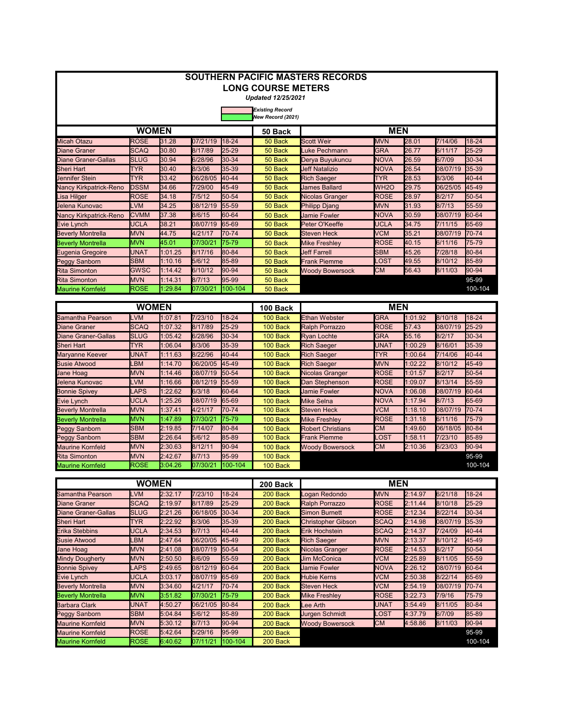| <b>SOUTHERN PACIFIC MASTERS RECORDS</b><br><b>LONG COURSE METERS</b> |                     |                    |                     |                |                                             |                                                 |                            |                    |                     |                                                                                                                                                                                                                                                                                                                                                                                                                                   |  |  |  |
|----------------------------------------------------------------------|---------------------|--------------------|---------------------|----------------|---------------------------------------------|-------------------------------------------------|----------------------------|--------------------|---------------------|-----------------------------------------------------------------------------------------------------------------------------------------------------------------------------------------------------------------------------------------------------------------------------------------------------------------------------------------------------------------------------------------------------------------------------------|--|--|--|
|                                                                      |                     |                    |                     |                |                                             |                                                 |                            |                    |                     |                                                                                                                                                                                                                                                                                                                                                                                                                                   |  |  |  |
|                                                                      |                     |                    |                     |                | <b>Updated 12/25/2021</b>                   |                                                 |                            |                    |                     |                                                                                                                                                                                                                                                                                                                                                                                                                                   |  |  |  |
|                                                                      |                     |                    |                     |                | <b>Existing Record</b><br>New Record (2021) |                                                 |                            |                    |                     |                                                                                                                                                                                                                                                                                                                                                                                                                                   |  |  |  |
|                                                                      | <b>WOMEN</b>        |                    |                     |                | 50 Back                                     |                                                 | <b>MEN</b>                 |                    |                     | 18-24<br>$25 - 29$<br>30-34<br>35-39<br>40-44<br>45-49<br>50-54<br>55-59<br>60-64<br>65-69<br>70-74<br>75-79<br>80-84<br>85-89<br>90-94<br>95-99<br>100-104<br>18-24<br>$25 - 29$<br>30-34<br>35-39<br>40-44<br>45-49<br>50-54<br>55-59<br>60-64<br>65-69<br>70-74<br>75-79<br>80-84<br>85-89<br>90-94<br>95-99<br>100-104<br>$18 - 24$<br>25-29<br>30-34<br>35-39<br>40-44<br>45-49<br>50-54<br>55-59<br>60-64<br>65-69<br>70-74 |  |  |  |
| <b>Micah Otazu</b>                                                   | ROSE                | 31.28              | 07/21/19            | 18-24          | 50 Back                                     | <b>Scott Weir</b>                               | <b>MVN</b>                 | 28.01              | 7/14/06             |                                                                                                                                                                                                                                                                                                                                                                                                                                   |  |  |  |
| <b>Diane Graner</b>                                                  | SCAQ                | 30.80              | 8/17/89             | 25-29          | 50 Back                                     | Luke Pechmann                                   | <b>GRA</b>                 | 26.77              | 6/11/17             |                                                                                                                                                                                                                                                                                                                                                                                                                                   |  |  |  |
| <b>Diane Graner-Gallas</b>                                           | <b>SLUG</b>         | 30.94              | 6/28/96             | 30-34          | 50 Back                                     | Derya Buyukuncu                                 | <b>NOVA</b>                | 26.59              | 6/7/09              |                                                                                                                                                                                                                                                                                                                                                                                                                                   |  |  |  |
| Sheri Hart                                                           | TYR                 | 30.40              | 8/3/06              | 35-39          | 50 Back                                     | <b>Jeff Natalizio</b>                           | <b>NOVA</b>                | 26.54              | 08/07/19            |                                                                                                                                                                                                                                                                                                                                                                                                                                   |  |  |  |
| Jennifer Stein                                                       | TYR                 | 33.42              | 06/28/05            | 40-44          | 50 Back                                     | <b>Rich Saeger</b>                              | <b>TYR</b>                 | 28.53              | 8/3/06              |                                                                                                                                                                                                                                                                                                                                                                                                                                   |  |  |  |
| Nancy Kirkpatrick-Reno                                               | <b>DSSM</b>         | 34.66              | 7/29/00             | 45-49          | 50 Back                                     | <b>James Ballard</b>                            | WH <sub>20</sub>           | 29.75              | 06/25/05            |                                                                                                                                                                                                                                                                                                                                                                                                                                   |  |  |  |
| isa Hilger                                                           | <b>ROSE</b>         | 34.18              | 7/5/12              | 50-54          | 50 Back                                     | Nicolas Granger                                 | <b>ROSE</b>                | 28.97              | 8/2/17              |                                                                                                                                                                                                                                                                                                                                                                                                                                   |  |  |  |
| Jelena Kunovac                                                       | LVM                 | 34.25              | 08/12/19            | 55-59          | 50 Back                                     | <b>Philipp Djang</b>                            | <b>MVN</b>                 | 31.93              | 8/7/13              |                                                                                                                                                                                                                                                                                                                                                                                                                                   |  |  |  |
| Nancy Kirkpatrick-Reno                                               | <b>CVMM</b>         | 37.38              | 8/6/15              | 60-64          | 50 Back                                     | <b>Jamie Fowler</b>                             | <b>NOVA</b>                | 30.59              | 08/07/19            |                                                                                                                                                                                                                                                                                                                                                                                                                                   |  |  |  |
| Evie Lynch                                                           | <b>UCLA</b>         | 38.21              | 08/07/19            | 65-69          | 50 Back                                     | Peter O'Keeffe                                  | <b>UCLA</b>                | 34.75              | 7/11/15             |                                                                                                                                                                                                                                                                                                                                                                                                                                   |  |  |  |
| <b>Beverly Montrella</b>                                             | <b>MVN</b>          | 44.75              | 4/21/17             | 70-74          | 50 Back                                     | <b>Steven Heck</b>                              | <b>VCM</b>                 | 35.21              | 08/07/19            |                                                                                                                                                                                                                                                                                                                                                                                                                                   |  |  |  |
| <b>Beverly Montrella</b>                                             | MVN                 | 45.01              | 07/30/21            | 75-79          | 50 Back                                     | <b>Mike Freshley</b>                            | <b>ROSE</b>                | 40.15              | 6/11/16             |                                                                                                                                                                                                                                                                                                                                                                                                                                   |  |  |  |
| Eugenia Gregoire                                                     | <b>UNAT</b>         | 1:01.25            | 8/17/16             | 80-84          | 50 Back                                     | <b>Jeff Farrell</b>                             | <b>SBM</b>                 | 45.26              | 7/28/18             |                                                                                                                                                                                                                                                                                                                                                                                                                                   |  |  |  |
| <b>Peggy Sanborn</b>                                                 | SBM                 | 1:10.16            | 5/6/12              | 85-89          | 50 Back                                     | <b>Frank Piemme</b>                             | .OST                       | 49.55              | 8/10/12             |                                                                                                                                                                                                                                                                                                                                                                                                                                   |  |  |  |
| <b>Rita Simonton</b>                                                 | GWSC                | 1:14.42            | 6/10/12             | 90-94          | 50 Back                                     | <b>Woody Bowersock</b>                          | СМ                         | 56.43              | 8/11/03             |                                                                                                                                                                                                                                                                                                                                                                                                                                   |  |  |  |
| <b>Rita Simonton</b>                                                 | <b>MVN</b>          | 1:14.31            | 8/7/13              | 95-99          | 50 Back                                     |                                                 |                            |                    |                     |                                                                                                                                                                                                                                                                                                                                                                                                                                   |  |  |  |
| <b>Maurine Kornfeld</b>                                              | ROSE                | 1:29.84            | 07/30/21            | 100-104        | 50 Back                                     |                                                 |                            |                    |                     |                                                                                                                                                                                                                                                                                                                                                                                                                                   |  |  |  |
|                                                                      | <b>WOMEN</b>        |                    |                     |                |                                             |                                                 | <b>MEN</b>                 |                    |                     |                                                                                                                                                                                                                                                                                                                                                                                                                                   |  |  |  |
|                                                                      |                     |                    |                     |                | 100 Back                                    |                                                 |                            |                    |                     |                                                                                                                                                                                                                                                                                                                                                                                                                                   |  |  |  |
| <b>Samantha Pearson</b>                                              | LVM                 | 1:07.81            | 7/23/10             | 18-24          | 100 Back                                    | <b>Ethan Webster</b>                            | <b>GRA</b>                 | 1:01.92            | 8/10/18             |                                                                                                                                                                                                                                                                                                                                                                                                                                   |  |  |  |
| <b>Diane Graner</b>                                                  | <b>SCAQ</b>         | 1:07.32            | 8/17/89             | 25-29          | 100 Back                                    | <b>Ralph Porrazzo</b>                           | <b>ROSE</b>                | 57.43              | 08/07/19            |                                                                                                                                                                                                                                                                                                                                                                                                                                   |  |  |  |
| <b>Diane Graner-Gallas</b>                                           | <b>SLUG</b>         | 1:05.42            | 6/28/96             | 30-34          | 100 Back                                    | <b>Ryan Lochte</b>                              | <b>GRA</b>                 | 55.16              | 8/2/17              |                                                                                                                                                                                                                                                                                                                                                                                                                                   |  |  |  |
| <b>Sheri Hart</b>                                                    | <b>TYR</b>          | 1:06.04            | 8/3/06              | 35-39          | 100 Back                                    | <b>Rich Saeger</b>                              | <b>UNAT</b>                | 1:00.29            | 8/16/01             |                                                                                                                                                                                                                                                                                                                                                                                                                                   |  |  |  |
| Maryanne Keever                                                      | UNAT                | 1:11.63            | 8/22/96             | 40-44          | 100 Back                                    | <b>Rich Saeger</b>                              | TYR                        | 1:00.64            | 7/14/06             |                                                                                                                                                                                                                                                                                                                                                                                                                                   |  |  |  |
| <b>Susie Atwood</b>                                                  | LBM                 | 1:14.70            | 06/20/05            | 45-49          | 100 Back                                    | <b>Rich Saeger</b>                              | <b>MVN</b>                 | 1:02.22            | 8/10/12             |                                                                                                                                                                                                                                                                                                                                                                                                                                   |  |  |  |
| <b>Jane Hoag</b>                                                     | <b>MVN</b>          | 1:14.46            | 08/07/19            | 50-54          | 100 Back                                    | Nicolas Granger                                 | <b>ROSE</b>                | 1:01.57            | 8/2/17              |                                                                                                                                                                                                                                                                                                                                                                                                                                   |  |  |  |
| Jelena Kunovac                                                       | LVM                 | 1:16.66            | 08/12/19            | 55-59          | 100 Back                                    | Dan Stephenson                                  | <b>ROSE</b>                | 1:09.07            | 8/13/14             |                                                                                                                                                                                                                                                                                                                                                                                                                                   |  |  |  |
| <b>Bonnie Spivey</b>                                                 | LAPS<br><b>UCLA</b> | 1:22.62            | 6/3/18              | 60-64<br>65-69 | 100 Back                                    | <b>Jamie Fowler</b>                             | <b>NOVA</b><br><b>NOVA</b> | 1:06.08            | 08/07/19            |                                                                                                                                                                                                                                                                                                                                                                                                                                   |  |  |  |
| Evie Lynch                                                           |                     | 1:25.26            | 08/07/19            |                | 100 Back                                    | <b>Mike Selna</b>                               |                            | 1:17.94            | 8/7/13              |                                                                                                                                                                                                                                                                                                                                                                                                                                   |  |  |  |
| <b>Beverly Montrella</b>                                             | <b>MVN</b>          | 1:37.41            | 4/21/17             | 70-74<br>75-79 | 100 Back                                    | <b>Steven Heck</b>                              | <b>VCM</b>                 | 1:18.10            | 08/07/19            |                                                                                                                                                                                                                                                                                                                                                                                                                                   |  |  |  |
| <b>Beverly Montrella</b>                                             | MVN<br><b>SBM</b>   | 1:47.89<br>2:19.85 | 07/30/21<br>7/14/07 | 80-84          | 100 Back                                    | <b>Mike Freshley</b>                            | <b>ROSE</b><br><b>CM</b>   | 1:31.18<br>1:49.60 | 6/11/16<br>06/18/05 |                                                                                                                                                                                                                                                                                                                                                                                                                                   |  |  |  |
| Peggy Sanborn<br><b>Peggy Sanborn</b>                                | SBM                 | 2:26.64            | 5/6/12              | 85-89          | 100 Back<br>100 Back                        | <b>Robert Christians</b><br><b>Frank Piemme</b> | .OST                       | 1:58.11            | 7/23/10             |                                                                                                                                                                                                                                                                                                                                                                                                                                   |  |  |  |
| <b>Maurine Kornfeld</b>                                              | MVN                 | 2:30.63            | 8/12/11             | 90-94          | 100 Back                                    | <b>Woody Bowersock</b>                          | <b>CM</b>                  | 2:10.36            | 6/23/03             |                                                                                                                                                                                                                                                                                                                                                                                                                                   |  |  |  |
| <b>Rita Simonton</b>                                                 | <b>MVN</b>          | 2:42.67            | 8/7/13              | 95-99          | 100 Back                                    |                                                 |                            |                    |                     |                                                                                                                                                                                                                                                                                                                                                                                                                                   |  |  |  |
| <b>Maurine Kornfeld</b>                                              | ROSE                | 3:04.26            | 07/30/21            | 100-104        | 100 Back                                    |                                                 |                            |                    |                     |                                                                                                                                                                                                                                                                                                                                                                                                                                   |  |  |  |
|                                                                      |                     |                    |                     |                |                                             |                                                 |                            |                    |                     |                                                                                                                                                                                                                                                                                                                                                                                                                                   |  |  |  |
|                                                                      | <b>WOMEN</b>        |                    |                     |                | 200 Back                                    |                                                 | <b>MEN</b>                 |                    |                     |                                                                                                                                                                                                                                                                                                                                                                                                                                   |  |  |  |
| Samantha Pearson                                                     | <b>LVM</b>          | 2:32.17            | 7/23/10             | 18-24          | 200 Back                                    | Logan Redondo                                   | <b>MVN</b>                 | 2:14.97            | 6/21/18             |                                                                                                                                                                                                                                                                                                                                                                                                                                   |  |  |  |
| <b>Diane Graner</b>                                                  | SCAQ                | 2:19.97            | 8/17/89             | 25-29          | 200 Back                                    | <b>Ralph Porrazzo</b>                           | <b>ROSE</b>                | 2:11.44            | 8/10/18             |                                                                                                                                                                                                                                                                                                                                                                                                                                   |  |  |  |
| <b>Diane Graner-Gallas</b>                                           | SLUG                | 2:21.26            | 06/18/05            | 30-34          | 200 Back                                    | <b>Simon Burnett</b>                            | <b>ROSE</b>                | 2:12.34            | 8/22/14             |                                                                                                                                                                                                                                                                                                                                                                                                                                   |  |  |  |
| Sheri Hart                                                           | <b>TYR</b>          | 2:22.92            | 8/3/06              | 35-39          | 200 Back                                    | <b>Christopher Gibson</b>                       | <b>SCAQ</b>                | 2:14.98            | 08/07/19            |                                                                                                                                                                                                                                                                                                                                                                                                                                   |  |  |  |
| <b>Erika Stebbins</b>                                                | UCLA                | 2:34.53            | 8/7/13              | 40-44          | 200 Back                                    | Erik Hochstein                                  | <b>SCAQ</b>                | 2:14.37            | 7/24/09             |                                                                                                                                                                                                                                                                                                                                                                                                                                   |  |  |  |
| <b>Susie Atwood</b>                                                  | LBM                 | 2:47.64            | 06/20/05            | 45-49          | 200 Back                                    | <b>Rich Saeger</b>                              | <b>MVN</b>                 | 2:13.37            | 8/10/12             |                                                                                                                                                                                                                                                                                                                                                                                                                                   |  |  |  |
| Jane Hoag                                                            | <b>MVN</b>          | 2:41.08            | 08/07/19 50-54      |                | 200 Back                                    | Nicolas Granger                                 | <b>ROSE</b>                | 2:14.53            | 8/2/17              |                                                                                                                                                                                                                                                                                                                                                                                                                                   |  |  |  |
| Mindy Dougherty                                                      | MVN                 | 2:50.50            | 8/6/09              | 55-59          | 200 Back                                    | <b>Jim McConica</b>                             | VCM                        | 2:25.89            | 8/11/05             |                                                                                                                                                                                                                                                                                                                                                                                                                                   |  |  |  |
| <b>Bonnie Spivey</b>                                                 | LAPS                | 2:49.65            | 08/12/19            | 60-64          | 200 Back                                    | <b>Jamie Fowler</b>                             | NOVA                       | 2:26.12            | 08/07/19            |                                                                                                                                                                                                                                                                                                                                                                                                                                   |  |  |  |
| Evie Lynch                                                           | <b>UCLA</b>         | 3:03.17            | 08/07/19            | 65-69          | 200 Back                                    | Hubie Kerns                                     | <b>VCM</b>                 | 2:50.38            | 8/22/14             |                                                                                                                                                                                                                                                                                                                                                                                                                                   |  |  |  |
| <b>Beverly Montrella</b>                                             | <b>MVN</b>          | 3:34.60            | 4/21/17             | 70-74          | 200 Back                                    | <b>Steven Heck</b>                              | VCM                        | 2:54.19            | 08/07/19            |                                                                                                                                                                                                                                                                                                                                                                                                                                   |  |  |  |
| <b>Beverly Montrella</b>                                             | MVN                 | 3:51.82            | 07/30/21            | 75-79          | 200 Back                                    | <b>Mike Freshley</b>                            | ROSE                       | 3:22.73            | 7/9/16              | 75-79                                                                                                                                                                                                                                                                                                                                                                                                                             |  |  |  |
| Barbara Clark                                                        | UNAT                | 4:50.27            | 06/21/05            | 80-84          | 200 Back                                    | Lee Arth                                        | <b>UNAT</b>                | 3:54.49            | 8/11/05             | 80-84                                                                                                                                                                                                                                                                                                                                                                                                                             |  |  |  |
| Peggy Sanborn                                                        | <b>SBM</b>          | 5:04.84            | 5/6/12              | 85-89          | 200 Back                                    | Jurgen Schmidt                                  | .OST                       | 4:37.79            | 6/7/09              | 85-89                                                                                                                                                                                                                                                                                                                                                                                                                             |  |  |  |
| <b>Maurine Kornfeld</b>                                              | MVN                 | 5:30.12            | 8/7/13              | 90-94          | 200 Back                                    | <b>Woody Bowersock</b>                          | <b>CM</b>                  | 4:58.86            | 8/11/03             | 90-94                                                                                                                                                                                                                                                                                                                                                                                                                             |  |  |  |
| <b>Maurine Kornfeld</b>                                              | ROSE                | 5:42.64            | 5/29/16             | 95-99          | 200 Back                                    |                                                 |                            |                    |                     | 95-99                                                                                                                                                                                                                                                                                                                                                                                                                             |  |  |  |

ROSE **6**:40.62 **0**7/11/21 **|**100-104 200 Back 100-104

Maurine Kornfeld |ROSE |6:40.62 |07/11/21 |100-104 | 200 Back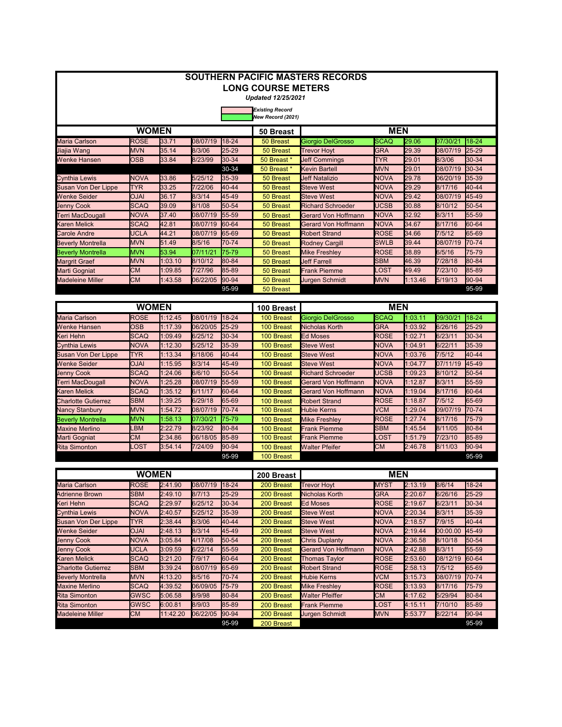| <b>SOUTHERN PACIFIC MASTERS RECORDS</b><br><b>LONG COURSE METERS</b> |                           |                    |                    |                |                                             |                                                     |                            |                    |                    |                |  |  |
|----------------------------------------------------------------------|---------------------------|--------------------|--------------------|----------------|---------------------------------------------|-----------------------------------------------------|----------------------------|--------------------|--------------------|----------------|--|--|
|                                                                      |                           |                    |                    |                |                                             |                                                     |                            |                    |                    |                |  |  |
|                                                                      |                           |                    |                    |                | <b>Updated 12/25/2021</b>                   |                                                     |                            |                    |                    |                |  |  |
|                                                                      |                           |                    |                    |                | <b>Existing Record</b><br>New Record (2021) |                                                     |                            |                    |                    |                |  |  |
|                                                                      | <b>WOMEN</b>              |                    |                    |                | 50 Breast                                   |                                                     | <b>MEN</b>                 |                    |                    |                |  |  |
| Maria Carlson                                                        | <b>ROSE</b>               | 33.71              | 08/07/19           | $18 - 24$      | 50 Breast                                   | Giorgio DelGrosso                                   | <b>SCAQ</b>                | 29.06              | 07/30/21           | 18-24          |  |  |
| Jiajia Wang                                                          | <b>MVN</b>                | 35.14              | 8/3/06             | 25-29          | 50 Breast                                   | <b>Trevor Hoyt</b>                                  | <b>GRA</b>                 | 29.39              | 08/07/19           | 25-29          |  |  |
| <b>Wenke Hansen</b>                                                  | OSB                       | 33.84              | 8/23/99            | 30-34          | 50 Breast *                                 | <b>Jeff Commings</b>                                | TYR                        | 29.01              | 8/3/06             | 30-34          |  |  |
|                                                                      |                           |                    |                    | 30-34          | 50 Breast                                   | Kevin Bartell                                       | <b>MVN</b>                 | 29.01              | 08/07/19           | 30-34          |  |  |
| <b>Cynthia Lewis</b>                                                 | <b>NOVA</b>               | 33.86              | 5/25/12            | 35-39          | 50 Breast                                   | <b>Jeff Natalizio</b>                               | <b>NOVA</b>                | 29.78              | 06/20/19           | 35-39          |  |  |
| <b>Susan Von Der Lippe</b>                                           | <b>TYR</b>                | 33.25              | 7/22/06            | 40-44          | 50 Breast                                   | <b>Steve West</b>                                   | <b>NOVA</b>                | 29.29              | 8/17/16            | 40-44          |  |  |
| <b>Wenke Seider</b>                                                  | <b>OJAI</b>               | 36.17              | 8/3/14             | 45-49          | 50 Breast                                   | <b>Steve West</b>                                   | <b>NOVA</b>                | 29.42              | 08/07/19           | 45-49          |  |  |
| <b>Jenny Cook</b>                                                    | <b>SCAQ</b>               | 39.09              | 8/1/08             | 50-54          | 50 Breast                                   | <b>Richard Schroeder</b>                            | <b>UCSB</b>                | 30.88              | 8/10/12            | 50-54          |  |  |
| Terri MacDougall                                                     | <b>NOVA</b>               | 37.40              | 08/07/19           | 55-59          | 50 Breast                                   | Gerard Von Hoffmann                                 | <b>NOVA</b>                | 32.92              | 8/3/11             | 55-59          |  |  |
| <b>Karen Melick</b>                                                  | SCAQ                      | 42.81              | 08/07/19           | 60-64          | 50 Breast                                   | <b>Gerard Von Hoffmann</b>                          | <b>NOVA</b>                | 34.67              | 8/17/16            | 60-64          |  |  |
| <b>Carole Andre</b>                                                  | <b>UCLA</b><br><b>MVN</b> | 44.21<br>51.49     | 08/07/19<br>8/5/16 | 65-69<br>70-74 | 50 Breast                                   | <b>Robert Strand</b>                                | <b>ROSE</b><br><b>SWLB</b> | 34.66<br>39.44     | 7/5/12<br>08/07/19 | 65-69<br>70-74 |  |  |
| <b>Beverly Montrella</b><br><b>Beverly Montrella</b>                 | <b>MVN</b>                | 53.94              | 07/11/21           | 75-79          | 50 Breast<br>50 Breast                      | <b>Rodney Cargill</b><br><b>Mike Freshley</b>       | <b>ROSE</b>                | 38.89              | 6/5/16             | 75-79          |  |  |
| <b>Margrit Graef</b>                                                 | <b>MVN</b>                | 1:03.10            | 8/10/12            | 80-84          | 50 Breast                                   | <b>Jeff Farrell</b>                                 | <b>SBM</b>                 | 46.39              | 7/28/18            | 80-84          |  |  |
| Marti Gogniat                                                        | <b>CM</b>                 | 1:09.85            | 7/27/96            | 85-89          | 50 Breast                                   | <b>Frank Piemme</b>                                 | <b>_OST</b>                | 49.49              | 7/23/10            | 85-89          |  |  |
| <b>Madeleine Miller</b>                                              | <b>CM</b>                 | 1:43.58            | 06/22/05           | 90-94          | 50 Breast                                   | Jurgen Schmidt                                      | <b>MVN</b>                 | 1:13.46            | 5/19/13            | 90-94          |  |  |
|                                                                      |                           |                    |                    | 95-99          | 50 Breast                                   |                                                     |                            |                    |                    | 95-99          |  |  |
|                                                                      |                           |                    |                    |                |                                             |                                                     |                            |                    |                    |                |  |  |
|                                                                      | <b>WOMEN</b>              |                    |                    |                | 100 Breast                                  |                                                     | <b>MEN</b>                 |                    |                    |                |  |  |
| <b>Maria Carlson</b>                                                 | <b>ROSE</b>               | 1:12.45            | 08/01/19           | 18-24          | 100 Breast                                  | Giorgio DelGrosso                                   | <b>SCAQ</b>                | 1:03.11            | 09/30/21           | 18-24          |  |  |
| Wenke Hansen                                                         | <b>OSB</b>                | 1:17.39            | 06/20/05           | 25-29          | 100 Breast                                  | Nicholas Korth                                      | <b>GRA</b>                 | 1:03.92            | 6/26/16            | 25-29          |  |  |
| Keri Hehn                                                            | <b>SCAQ</b>               | 1:09.49            | 6/25/12            | 30-34          | 100 Breast                                  | <b>Ed Moses</b>                                     | <b>ROSE</b>                | 1:02.71            | 6/23/11            | 30-34          |  |  |
| <b>Cynthia Lewis</b>                                                 | <b>NOVA</b>               | 1:12.30            | 5/25/12            | 35-39          | 100 Breast                                  | <b>Steve West</b>                                   | <b>NOVA</b>                | 1:04.91            | 6/22/11            | 35-39          |  |  |
| Susan Von Der Lippe                                                  | <b>TYR</b>                | 1:13.34            | 6/18/06            | 40-44          | 100 Breast                                  | <b>Steve West</b>                                   | <b>NOVA</b>                | 1:03.76            | 7/5/12             | 40-44          |  |  |
| <b>Wenke Seider</b>                                                  | <b>OJAI</b>               | 1:15.95            | 8/3/14             | 45-49          | 100 Breast                                  | <b>Steve West</b>                                   | <b>NOVA</b>                | 1:04.77            | 07/11/19           | 45-49          |  |  |
| <b>Jenny Cook</b>                                                    | SCAQ                      | 1:24.06            | 6/6/10             | 50-54          | 100 Breast                                  | <b>Richard Schroeder</b>                            | UCSB                       | 1:09.23            | 8/10/12            | 50-54          |  |  |
| Terri MacDougall                                                     | NOVA                      | 1:25.28            | 08/07/19           | 55-59          | 100 Breast                                  | Gerard Von Hoffmann                                 | <b>NOVA</b>                | 1:12.87            | 8/3/11             | 55-59          |  |  |
| <b>Karen Melick</b><br><b>Charlotte Gutierrez</b>                    | <b>SCAQ</b><br>SBM        | 1:35.12<br>1:39.25 | 6/11/17<br>6/29/18 | 60-64<br>65-69 | 100 Breast<br>100 Breast                    | Gerard Von Hoffmann<br><b>Robert Strand</b>         | <b>NOVA</b><br><b>ROSE</b> | 1:19.04            | 8/17/16            | 60-64          |  |  |
|                                                                      | <b>MVN</b>                | 1:54.72            | 08/07/19           | 70-74          | 100 Breast                                  | <b>Hubie Kerns</b>                                  | <b>VCM</b>                 | 1:18.87<br>1:29.04 | 7/5/12<br>09/07/19 | 65-69<br>70-74 |  |  |
| <b>Nancy Stanbury</b><br><b>Beverly Montrella</b>                    | <b>MVN</b>                | 1:58.13            | 07/30/21           | 75-79          | 100 Breast                                  | <b>Mike Freshley</b>                                | <b>ROSE</b>                | 1:27.74            | 8/17/16            | 75-79          |  |  |
| <b>Maxine Merlino</b>                                                | LBM                       | 2:22.79            | 8/23/92            | 80-84          | 100 Breast                                  | <b>Frank Piemme</b>                                 | SBM                        | 1:45.54            | 8/11/05            | 80-84          |  |  |
| Marti Gogniat                                                        | <b>CM</b>                 | 2:34.86            | 06/18/05           | 85-89          | 100 Breast                                  | <b>Frank Piemme</b>                                 | .OST                       | 1:51.79            | 7/23/10            | 85-89          |  |  |
| <b>Rita Simonton</b>                                                 | <b>LOST</b>               | 3:54.14            | 7/24/09            | 90-94          | 100 Breast                                  | <b>Walter Pfeifer</b>                               | <b>CM</b>                  | 2:46.78            | 8/11/03            | 90-94          |  |  |
|                                                                      |                           |                    |                    | 95-99          | 100 Breast                                  |                                                     |                            |                    |                    | 95-99          |  |  |
|                                                                      |                           |                    |                    |                |                                             |                                                     |                            |                    |                    |                |  |  |
|                                                                      | <b>WOMEN</b>              |                    |                    |                | 200 Breast                                  |                                                     | <b>MEN</b>                 |                    |                    |                |  |  |
| Maria Carlson                                                        | <b>ROSE</b>               | 2:41.90            | 08/07/19 18-24     |                | 200 Breast                                  | <b>Trevor Hoyt</b>                                  | <b>MYST</b>                | 2:13.19            | 8/6/14             | 18-24          |  |  |
| <b>Adrienne Brown</b>                                                | SBM                       | 2:49.10            | 8/7/13             | 25-29          | 200 Breast                                  | Nicholas Korth                                      | <b>GRA</b>                 | 2:20.67            | 6/26/16            | 25-29          |  |  |
| Keri Hehn                                                            | <b>SCAQ</b>               | 2:29.97            | 6/25/12            | 30-34          | 200 Breast                                  | Ed Moses                                            | <b>ROSE</b>                | 2:19.67            | 6/23/11            | 30-34          |  |  |
| <b>Cynthia Lewis</b>                                                 | <b>NOVA</b>               | 2:40.57            | 5/25/12            | 35-39          | 200 Breast                                  | <b>Steve West</b>                                   | <b>NOVA</b>                | 2:20.34            | 8/3/11             | 35-39          |  |  |
| Susan Von Der Lippe                                                  | TYR                       | 2:38.44            | 8/3/06             | 40-44          | 200 Breast                                  | <b>Steve West</b>                                   | <b>NOVA</b>                | 2:18.57            | 7/9/15             | 40-44          |  |  |
| <b>Wenke Seider</b>                                                  | <b>OJAI</b>               | 2:48.13            | 8/3/14             | 45-49          | 200 Breast                                  | <b>Steve West</b>                                   | <b>NOVA</b>                | 2:19.44            | 00:00.00           | 45-49          |  |  |
| <b>Jenny Cook</b><br><b>Jenny Cook</b>                               | <b>NOVA</b><br>UCLA       | 3:05.84<br>3:09.59 | 4/17/08<br>6/22/14 | 50-54<br>55-59 | 200 Breast<br>200 Breast                    | <b>Chris Duplanty</b><br><b>Gerard Von Hoffmann</b> | <b>NOVA</b><br><b>NOVA</b> | 2:36.58<br>2:42.88 | 8/10/18<br>8/3/11  | 50-54<br>55-59 |  |  |
| <b>Karen Melick</b>                                                  | <b>SCAQ</b>               | 3:21.20            | 7/9/17             | 60-64          | 200 Breast                                  | <b>Thomas Taylor</b>                                | <b>ROSE</b>                | 2:53.60            | 08/12/19           | 60-64          |  |  |
| <b>Charlotte Gutierrez</b>                                           | <b>SBM</b>                | 3:39.24            | 08/07/19           | 65-69          | 200 Breast                                  | <b>Robert Strand</b>                                | <b>ROSE</b>                | 2:58.13            | 7/5/12             | 65-69          |  |  |
| <b>Beverly Montrella</b>                                             | <b>MVN</b>                | 4:13.20            | 8/5/16             | 70-74          | 200 Breast                                  | <b>Hubie Kerns</b>                                  | VCM                        | 3:15.73            | 08/07/19           | 70-74          |  |  |
| <b>Maxine Merlino</b>                                                | <b>SCAQ</b>               | 4:39.52            | 06/09/05           | 75-79          | 200 Breast                                  | <b>Mike Freshley</b>                                | <b>ROSE</b>                | 3:13.93            | 8/17/16            | 75-79          |  |  |
| <b>Rita Simonton</b>                                                 | <b>GWSC</b>               | 5:06.58            | 8/9/98             | 80-84          | 200 Breast                                  | <b>Walter Pfeiffer</b>                              | <b>CM</b>                  | 4:17.62            | 5/29/94            | 80-84          |  |  |
| <b>Rita Simonton</b>                                                 | GWSC                      | 6:00.81            | 8/9/03             | 85-89          | 200 Breast                                  | <b>Frank Piemme</b>                                 | _OST                       | 4:15.11            | 7/10/10            | 85-89          |  |  |
| <b>Madeleine Miller</b>                                              | <b>CM</b>                 | 11:42.20           | 06/22/05           | 90-94          | 200 Breast                                  | Jurgen Schmidt                                      | <b>MVN</b>                 | 5:53.77            | 8/22/14            | 90-94          |  |  |
|                                                                      |                           |                    |                    | 95-99          | 200 Breast                                  |                                                     |                            |                    |                    | 95-99          |  |  |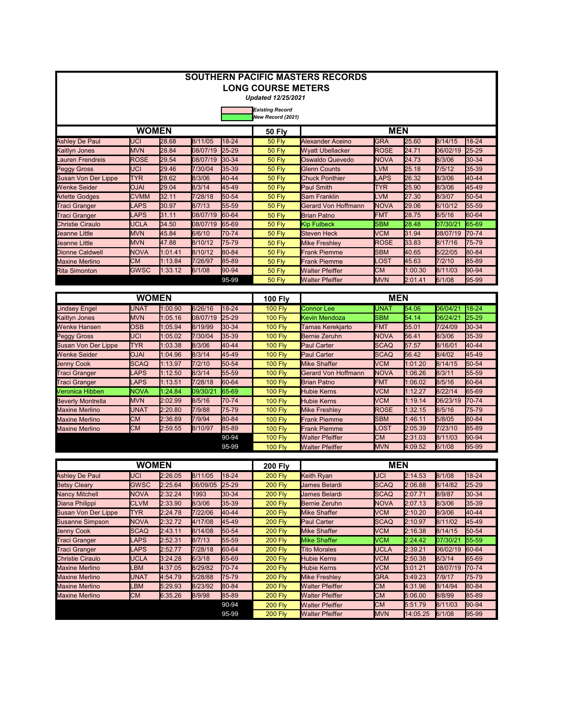|                                             |                  |         |          |           | <b>LONG COURSE METERS</b><br><b>Updated 12/25/2021</b> | <b>SOUTHERN PACIFIC MASTERS RECORDS</b> |              |         |          |       |  |
|---------------------------------------------|------------------|---------|----------|-----------|--------------------------------------------------------|-----------------------------------------|--------------|---------|----------|-------|--|
|                                             |                  |         |          |           | <b>Existing Record</b><br>New Record (2021)            |                                         |              |         |          |       |  |
| <b>WOMEN</b><br><b>MEN</b><br><b>50 Fly</b> |                  |         |          |           |                                                        |                                         |              |         |          |       |  |
| <b>Ashley De Paul</b>                       | <b>UCI</b>       | 28.68   | 8/11/05  | 18-24     | <b>50 Fly</b>                                          | Alexander Aceino                        | <b>GRA</b>   | 25.60   | 8/14/15  | 18-24 |  |
| <b>Kaitlyn Jones</b>                        | <b>MVN</b>       | 28.84   | 08/07/19 | $25 - 29$ | <b>50 Flv</b>                                          | <b>Wyatt Ubellacker</b>                 | <b>ROSE</b>  | 24.71   | 06/02/19 | 25-29 |  |
| auren Frendreis                             | <b>ROSE</b>      | 29.54   | 08/07/19 | $30-34$   | <b>50 Flv</b>                                          | Oswaldo Quevedo                         | <b>NOVA</b>  | 24.73   | 8/3/06   | 30-34 |  |
| Peggy Gross                                 | UCI              | 29.46   | 7/30/04  | $35 - 39$ | <b>50 Flv</b>                                          | <b>Glenn Counts</b>                     | <b>LVM</b>   | 25.18   | 7/5/12   | 35-39 |  |
| Susan Von Der Lippe                         | <b>TYR</b>       | 28.62   | 8/3/06   | 40-44     | <b>50 Fly</b>                                          | <b>Chuck Ponthier</b>                   | <b>LAPS</b>  | 26.32   | 8/3/06   | 40-44 |  |
| Wenke Seider                                | <b>OJAI</b>      | 29.04   | 8/3/14   | 45-49     | <b>50 Flv</b>                                          | <b>Paul Smith</b>                       | <b>TYR</b>   | 25.90   | 8/3/06   | 45-49 |  |
| <b>Arlette Godges</b>                       | <b>CVMM</b>      | 32.11   | 7/28/18  | 50-54     | <b>50 Fly</b>                                          | Sam Franklin                            | <b>LVM</b>   | 27.30   | 8/3/07   | 50-54 |  |
| <b>Traci Granger</b>                        | <b>LAPS</b>      | 30.97   | 8/7/13   | 55-59     | <b>50 Fly</b>                                          | Gerard Von Hoffmann                     | <b>NOVA</b>  | 29.06   | 6/10/12  | 55-59 |  |
| <b>Traci Granger</b>                        | LAPS             | 31.11   | 08/07/19 | 60-64     | <b>50 Fly</b>                                          | <b>Brian Patno</b>                      | <b>FMT</b>   | 28.75   | 8/5/16   | 60-64 |  |
| <b>Christie Ciraulo</b>                     | <b>UCLA</b>      | 34.50   | 08/07/19 | 65-69     | <b>50 Flv</b>                                          | <b>Kip Fulbeck</b>                      | <b>SBM</b>   | 28.48   | 07/30/21 | 65-69 |  |
| <b>Jeanne Little</b>                        | <b>MVN</b>       | 45.84   | 6/6/10   | 70-74     | <b>50 Flv</b>                                          | <b>Steven Heck</b>                      | <b>VCM</b>   | 31.94   | 08/07/19 | 70-74 |  |
| <b>Jeanne Little</b>                        | <b>MVN</b>       | 47.88   | 8/10/12  | 75-79     | <b>50 Flv</b>                                          | <b>Mike Freshlev</b>                    | <b>ROSE</b>  | 33.83   | 8/17/16  | 75-79 |  |
| <b>Dionne Caldwell</b>                      | <b>NOVA</b>      | 1:01.41 | 8/10/12  | 80-84     | <b>50 Fly</b>                                          | <b>Frank Piemme</b>                     | <b>SBM</b>   | 40.65   | 5/22/05  | 80-84 |  |
| <b>Maxine Merlino</b>                       | <b>CM</b>        | 1:13.84 | 7/26/97  | 85-89     | <b>50 Fly</b>                                          | <b>Frank Piemme</b>                     | LOST         | 45.63   | 7/2/10   | 85-89 |  |
| <b>Rita Simonton</b>                        | <b>GWSC</b>      | 1:33.12 | 6/1/08   | 90-94     | <b>50 Flv</b>                                          | <b>Walter Pfeiffer</b>                  | <b>CM</b>    | 1:00.30 | 8/11/03  | 90-94 |  |
|                                             |                  |         |          | 95-99     | <b>50 Fly</b>                                          | <b>Walter Pfeiffer</b>                  | <b>MVN</b>   | 2:01.41 | 6/1/08   | 95-99 |  |
|                                             | <b>IAIOMATHI</b> |         |          |           | $\cdots$                                               |                                         | <b>BACAL</b> |         |          |       |  |

|                            | <b>WOMEN</b> |         |          |           | <b>100 Fly</b> | <b>MEN</b>             |             |         |          |         |
|----------------------------|--------------|---------|----------|-----------|----------------|------------------------|-------------|---------|----------|---------|
| <b>Lindsey Engel</b>       | UNAT         | 1:00.90 | 6/26/16  | 18-24     | <b>100 Fly</b> | <b>Connor Lee</b>      | <b>UNAT</b> | 54.06   | 06/04/21 | 18-24   |
| Kaitlyn Jones              | <b>MVN</b>   | 1:05.16 | 08/07/19 | $25 - 29$ | <b>100 Fly</b> | Kevin Mendoza          | <b>SBM</b>  | 54.14   | 06/24/21 | 25-29   |
| Wenke Hansen               | <b>OSB</b>   | 1:05.94 | 8/19/99  | 30-34     | <b>100 Flv</b> | Tamas Kerekjarto       | <b>FMT</b>  | 55.01   | 7/24/09  | $30-34$ |
| <b>Peggy Gross</b>         | UCI          | 1:05.02 | 7/30/04  | 35-39     | <b>100 Fly</b> | <b>Bernie Zeruhn</b>   | <b>NOVA</b> | 56.41   | 8/3/06   | 35-39   |
| <b>Susan Von Der Lippe</b> | <b>TYR</b>   | 1:03.38 | 8/3/06   | 40-44     | <b>100 Fly</b> | <b>Paul Carter</b>     | <b>SCAQ</b> | 57.57   | 8/16/01  | 40-44   |
| <b>Wenke Seider</b>        | <b>OJAI</b>  | 1:04.96 | 8/3/14   | 45-49     | <b>100 Fly</b> | <b>Paul Carter</b>     | <b>SCAQ</b> | 56.42   | 8/4/02   | 45-49   |
| <b>Jenny Cook</b>          | <b>SCAQ</b>  | 1:13.97 | 7/2/10   | 50-54     | <b>100 Fly</b> | <b>Mike Shaffer</b>    | <b>VCM</b>  | 1:01.20 | 8/14/15  | 50-54   |
| <b>Traci Granger</b>       | <b>LAPS</b>  | 1:12.50 | 8/3/14   | 55-59     | <b>100 Flv</b> | Gerard Von Hoffmann    | <b>NOVA</b> | 1:06.26 | 8/3/11   | 55-59   |
| <b>Traci Granger</b>       | LAPS         | 1:13.51 | 7/28/18  | 60-64     | <b>100 Fly</b> | <b>Brian Patno</b>     | <b>FMT</b>  | 1:06.02 | 8/5/16   | 60-64   |
| <b>Veronica Hibben</b>     | <b>NOVA</b>  | 1:24.84 | 09/30/21 | 65-69     | <b>100 Flv</b> | <b>Hubie Kerns</b>     | <b>VCM</b>  | 1:12.27 | 8/22/14  | 65-69   |
| <b>Beverly Montrella</b>   | MVN          | 2:02.99 | 8/5/16   | 70-74     | <b>100 Fly</b> | <b>Hubie Kerns</b>     | <b>VCM</b>  | 1:19.14 | 06/23/19 | 70-74   |
| <b>Maxine Merlino</b>      | <b>UNAT</b>  | 2:20.80 | 7/9/88   | 75-79     | <b>100 Fly</b> | <b>Mike Freshley</b>   | <b>ROSE</b> | 1:32.15 | 8/5/16   | 75-79   |
| <b>Maxine Merlino</b>      | <b>CM</b>    | 2:36.89 | 7/9/94   | 80-84     | <b>100 Flv</b> | <b>Frank Piemme</b>    | <b>SBM</b>  | 1:46.11 | 5/8/05   | 80-84   |
| <b>Maxine Merlino</b>      | <b>CM</b>    | 2:59.55 | 8/10/97  | 85-89     | <b>100 Flv</b> | <b>Frank Piemme</b>    | _OST        | 2:05.39 | 7/23/10  | 85-89   |
|                            |              |         |          | 90-94     | <b>100 Fly</b> | <b>Walter Pfeiffer</b> | <b>CM</b>   | 2:31.03 | 8/11/03  | 90-94   |
|                            |              |         |          | 95-99     | <b>100 Fly</b> | <b>Walter Pfeiffer</b> | <b>MVN</b>  | 4:09.52 | 6/1/08   | 95-99   |

|                         | <b>WOMEN</b> |         |          |           | <b>200 Fly</b> |                        | <b>MEN</b>   |          |          |           |
|-------------------------|--------------|---------|----------|-----------|----------------|------------------------|--------------|----------|----------|-----------|
| <b>Ashley De Paul</b>   | <b>UCI</b>   | 2:26.05 | 8/11/05  | $18 - 24$ | <b>200 Flv</b> | Keith Ryan             | <b>UCI</b>   | 2:14.53  | 8/1/08   | 18-24     |
| <b>Betsy Cleary</b>     | <b>GWSC</b>  | 2:25.64 | 06/09/05 | 25-29     | <b>200 Fly</b> | James Belardi          | <b>SCAQ</b>  | 2:06.88  | 8/14/82  | $25 - 29$ |
| <b>Nancy Mitchell</b>   | <b>NOVA</b>  | 2:32.24 | 1993     | 30-34     | <b>200 Fly</b> | James Belardi          | <b>SCAQ</b>  | 2:07.71  | 8/9/87   | 30-34     |
| Diana Philippi          | <b>CLVM</b>  | 2:33.90 | 8/3/06   | 35-39     | <b>200 Fly</b> | Bernie Zeruhn          | <b>NOVA</b>  | 2:07.13  | 8/3/06   | 35-39     |
| Susan Von Der Lippe     | TYR.         | 2:24.78 | 7/22/06  | $40 - 44$ | <b>200 Fly</b> | <b>Mike Shaffer</b>    | <b>VCM</b>   | 2:10.20  | 8/3/06   | 40-44     |
| <b>Susanne Simpson</b>  | <b>NOVA</b>  | 2:32.72 | 4/17/08  | 45-49     | <b>200 Fly</b> | <b>Paul Carter</b>     | <b>ISCAQ</b> | 2:10.97  | 8/11/02  | 45-49     |
| <b>Jenny Cook</b>       | <b>SCAQ</b>  | 2:43.11 | 8/14/08  | 50-54     | <b>200 Flv</b> | <b>Mike Shaffer</b>    | <b>VCM</b>   | 2:16.38  | 8/14/15  | 50-54     |
| <b>Traci Granger</b>    | LAPS         | 2:52.31 | 8/7/13   | $55 - 59$ | <b>200 Flv</b> | <b>Mike Shaffer</b>    | <b>VCM</b>   | 2:24.42  | 07/30/21 | 55-59     |
| <b>Traci Granger</b>    | <b>LAPS</b>  | 2:52.77 | 7/28/18  | 60-64     | <b>200 Fly</b> | <b>Tito Morales</b>    | <b>UCLA</b>  | 2:39.21  | 06/02/19 | 60-64     |
| <b>Christie Ciraulo</b> | <b>UCLA</b>  | 3:24.28 | 6/3/18   | 65-69     | <b>200 Fly</b> | <b>Hubie Kerns</b>     | <b>VCM</b>   | 2:50.38  | 8/3/14   | 65-69     |
| <b>Maxine Merlino</b>   | LBM          | 4:37.05 | 8/29/82  | 70-74     | <b>200 Fly</b> | <b>Hubie Kerns</b>     | <b>VCM</b>   | 3:01.21  | 08/07/19 | 70-74     |
| <b>Maxine Merlino</b>   | <b>UNAT</b>  | 4:54.79 | 5/28/88  | 75-79     | <b>200 Flv</b> | <b>Mike Freshlev</b>   | <b>GRA</b>   | 3:49.23  | 7/9/17   | 75-79     |
| <b>Maxine Merlino</b>   | -BM          | 5:29.93 | 8/23/92  | 80-84     | <b>200 Flv</b> | <b>Walter Pfeiffer</b> | <b>CM</b>    | 4:31.96  | 8/14/94  | 80-84     |
| <b>Maxine Merlino</b>   | <b>CM</b>    | 6:35.26 | 8/9/98   | 85-89     | <b>200 Fly</b> | <b>Walter Pfeiffer</b> | <b>CM</b>    | 5:06.00  | 8/8/99   | 85-89     |
|                         |              |         |          | 90-94     | <b>200 Fly</b> | <b>Walter Pfeiffer</b> | <b>CM</b>    | 5:51.79  | 8/11/03  | 90-94     |
|                         |              |         |          | 95-99     | <b>200 Fly</b> | <b>Walter Pfeiffer</b> | <b>MVN</b>   | 14:05.25 | 6/1/08   | 95-99     |